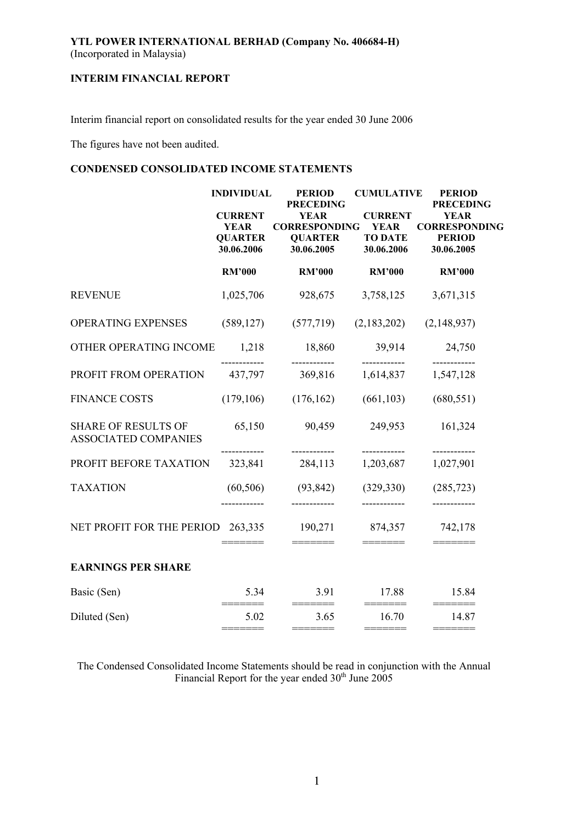# **YTL POWER INTERNATIONAL BERHAD (Company No. 406684-H)**  (Incorporated in Malaysia)

# **INTERIM FINANCIAL REPORT**

Interim financial report on consolidated results for the year ended 30 June 2006

The figures have not been audited.

# **CONDENSED CONSOLIDATED INCOME STATEMENTS**

|                                                           | <b>INDIVIDUAL</b><br><b>CURRENT</b>         | <b>PERIOD</b><br><b>PRECEDING</b><br><b>YEAR</b>     | <b>CUMULATIVE</b><br><b>CURRENT</b>         | <b>PERIOD</b><br><b>PRECEDING</b><br><b>YEAR</b>    |
|-----------------------------------------------------------|---------------------------------------------|------------------------------------------------------|---------------------------------------------|-----------------------------------------------------|
|                                                           | <b>YEAR</b><br><b>QUARTER</b><br>30.06.2006 | <b>CORRESPONDING</b><br><b>QUARTER</b><br>30.06.2005 | <b>YEAR</b><br><b>TO DATE</b><br>30.06.2006 | <b>CORRESPONDING</b><br><b>PERIOD</b><br>30.06.2005 |
|                                                           | <b>RM'000</b>                               | <b>RM'000</b>                                        | <b>RM'000</b>                               | <b>RM'000</b>                                       |
| <b>REVENUE</b>                                            | 1,025,706                                   | 928,675                                              | 3,758,125                                   | 3,671,315                                           |
| OPERATING EXPENSES                                        | (589, 127)                                  | (577, 719)                                           | (2,183,202)                                 | (2,148,937)                                         |
| OTHER OPERATING INCOME                                    | 1,218                                       | 18,860                                               | 39,914                                      | 24,750                                              |
| PROFIT FROM OPERATION                                     | 437,797                                     | 369,816                                              | 1,614,837                                   | 1,547,128                                           |
| <b>FINANCE COSTS</b>                                      | (179, 106)                                  | (176, 162)                                           | (661, 103)                                  | (680, 551)                                          |
| <b>SHARE OF RESULTS OF</b><br><b>ASSOCIATED COMPANIES</b> | 65,150                                      | 90,459<br>------------                               | 249,953                                     | 161,324<br>------------                             |
| PROFIT BEFORE TAXATION                                    | 323,841                                     | 284,113                                              | 1,203,687                                   | 1,027,901                                           |
| <b>TAXATION</b>                                           | (60, 506)                                   | (93, 842)                                            | (329, 330)                                  | (285, 723)                                          |
| NET PROFIT FOR THE PERIOD 263,335                         |                                             | 190,271                                              | 874,357                                     | 742,178                                             |
| <b>EARNINGS PER SHARE</b>                                 |                                             |                                                      |                                             |                                                     |
| Basic (Sen)                                               | 5.34<br>=====                               | 3.91<br>$=$ $=$ $=$ $=$ $=$ $=$ $=$                  | 17.88                                       | 15.84<br>$=$ ======                                 |
| Diluted (Sen)                                             | 5.02<br>======                              | 3.65<br>=======                                      | 16.70<br>=======                            | 14.87                                               |

The Condensed Consolidated Income Statements should be read in conjunction with the Annual Financial Report for the year ended  $30<sup>th</sup>$  June 2005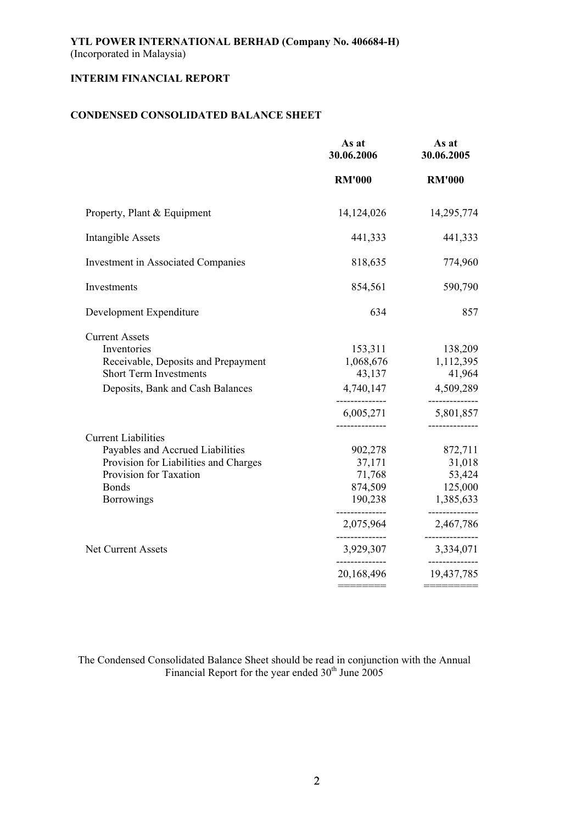# **CONDENSED CONSOLIDATED BALANCE SHEET**

|                                                                                                                                                                        | As at<br>30.06.2006                                                                  | As at<br>30.06.2005                                                                       |
|------------------------------------------------------------------------------------------------------------------------------------------------------------------------|--------------------------------------------------------------------------------------|-------------------------------------------------------------------------------------------|
|                                                                                                                                                                        | <b>RM'000</b>                                                                        | <b>RM'000</b>                                                                             |
| Property, Plant & Equipment                                                                                                                                            | 14, 124, 026                                                                         | 14,295,774                                                                                |
| <b>Intangible Assets</b>                                                                                                                                               | 441,333                                                                              | 441,333                                                                                   |
| <b>Investment in Associated Companies</b>                                                                                                                              | 818,635                                                                              | 774,960                                                                                   |
| Investments                                                                                                                                                            | 854,561                                                                              | 590,790                                                                                   |
| Development Expenditure                                                                                                                                                | 634                                                                                  | 857                                                                                       |
| <b>Current Assets</b><br>Inventories<br>Receivable, Deposits and Prepayment<br><b>Short Term Investments</b><br>Deposits, Bank and Cash Balances                       | 153,311<br>1,068,676<br>43,137<br>4,740,147<br>--------------<br>6,005,271           | 138,209<br>1,112,395<br>41,964<br>4,509,289<br>------------<br>5,801,857<br>------------- |
| <b>Current Liabilities</b><br>Payables and Accrued Liabilities<br>Provision for Liabilities and Charges<br>Provision for Taxation<br><b>Bonds</b><br><b>Borrowings</b> | 902,278<br>37,171<br>71,768<br>874,509<br>190,238<br>--------------<br>2,075,964<br> | 872,711<br>31,018<br>53,424<br>125,000<br>1,385,633<br>------------<br>2,467,786          |
| Net Current Assets                                                                                                                                                     | 3,929,307<br>--------------                                                          | 3,334,071<br>------------                                                                 |
|                                                                                                                                                                        | 20,168,496                                                                           | 19,437,785                                                                                |
|                                                                                                                                                                        |                                                                                      |                                                                                           |

The Condensed Consolidated Balance Sheet should be read in conjunction with the Annual Financial Report for the year ended  $30<sup>th</sup>$  June 2005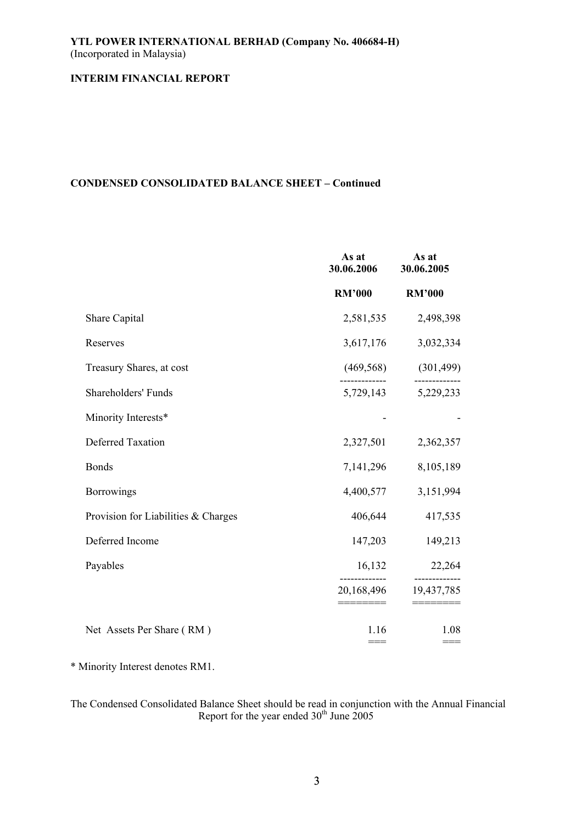# **CONDENSED CONSOLIDATED BALANCE SHEET – Continued**

|                                     | As at<br>30.06.2006 | As at<br>30.06.2005 |
|-------------------------------------|---------------------|---------------------|
|                                     | <b>RM'000</b>       | <b>RM'000</b>       |
| Share Capital                       | 2,581,535           | 2,498,398           |
| Reserves                            | 3,617,176           | 3,032,334           |
| Treasury Shares, at cost            | (469, 568)          | (301, 499)          |
| Shareholders' Funds                 | 5,729,143           | 5,229,233           |
| Minority Interests*                 |                     |                     |
| <b>Deferred Taxation</b>            | 2,327,501           | 2,362,357           |
| <b>Bonds</b>                        | 7,141,296           | 8,105,189           |
| <b>Borrowings</b>                   | 4,400,577           | 3,151,994           |
| Provision for Liabilities & Charges | 406,644             | 417,535             |
| Deferred Income                     | 147,203             | 149,213             |
| Payables                            | 16,132              | 22,264<br>--------- |
|                                     | 20,168,496          | 19,437,785          |
| Net Assets Per Share (RM)           | 1.16<br>$==$        | 1.08                |

\* Minority Interest denotes RM1.

The Condensed Consolidated Balance Sheet should be read in conjunction with the Annual Financial Report for the year ended  $30<sup>th</sup>$  June 2005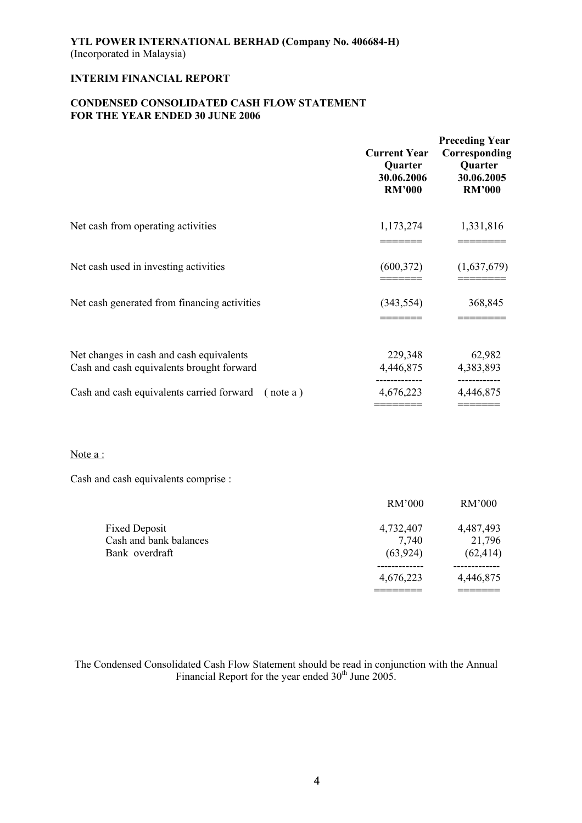# **CONDENSED CONSOLIDATED CASH FLOW STATEMENT FOR THE YEAR ENDED 30 JUNE 2006**

|                                                                                       | <b>Current Year</b><br>Quarter<br>30.06.2006<br><b>RM'000</b> | <b>Preceding Year</b><br>Corresponding<br>Quarter<br>30.06.2005<br><b>RM'000</b> |
|---------------------------------------------------------------------------------------|---------------------------------------------------------------|----------------------------------------------------------------------------------|
| Net cash from operating activities                                                    | 1,173,274                                                     | 1,331,816                                                                        |
| Net cash used in investing activities                                                 | (600, 372)                                                    | (1,637,679)                                                                      |
| Net cash generated from financing activities                                          | (343, 554)                                                    | 368,845                                                                          |
| Net changes in cash and cash equivalents<br>Cash and cash equivalents brought forward | 229,348<br>4,446,875                                          | 62,982<br>4,383,893                                                              |
| Cash and cash equivalents carried forward<br>(note a)                                 | 4,676,223                                                     | 4,446,875                                                                        |

# Note a :

Cash and cash equivalents comprise :

|                        | RM'000    | RM'000    |
|------------------------|-----------|-----------|
| <b>Fixed Deposit</b>   | 4,732,407 | 4,487,493 |
| Cash and bank balances | 7,740     | 21,796    |
| Bank overdraft         | (63, 924) | (62, 414) |
|                        |           |           |
|                        | 4,676,223 | 4,446,875 |
|                        |           |           |

The Condensed Consolidated Cash Flow Statement should be read in conjunction with the Annual Financial Report for the year ended  $30<sup>th</sup>$  June 2005.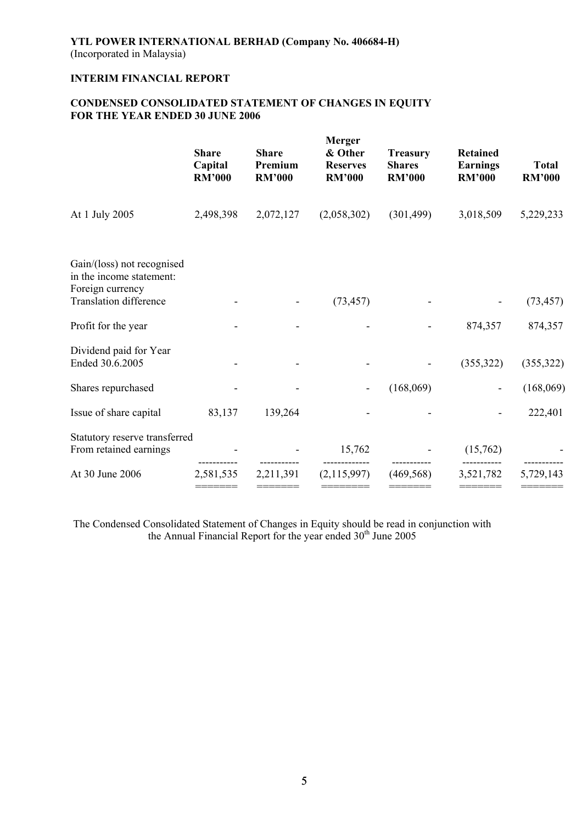# **CONDENSED CONSOLIDATED STATEMENT OF CHANGES IN EQUITY FOR THE YEAR ENDED 30 JUNE 2006**

|                                                                                                             | <b>Share</b><br>Capital<br><b>RM'000</b> | <b>Share</b><br>Premium<br><b>RM'000</b> | <b>Merger</b><br>& Other<br><b>Reserves</b><br><b>RM'000</b> | <b>Treasury</b><br><b>Shares</b><br><b>RM'000</b> | <b>Retained</b><br><b>Earnings</b><br><b>RM'000</b> | <b>Total</b><br><b>RM'000</b> |
|-------------------------------------------------------------------------------------------------------------|------------------------------------------|------------------------------------------|--------------------------------------------------------------|---------------------------------------------------|-----------------------------------------------------|-------------------------------|
| At 1 July 2005                                                                                              | 2,498,398                                | 2,072,127                                | (2,058,302)                                                  | (301, 499)                                        | 3,018,509                                           | 5,229,233                     |
| Gain/(loss) not recognised<br>in the income statement:<br>Foreign currency<br><b>Translation difference</b> |                                          |                                          |                                                              |                                                   |                                                     |                               |
|                                                                                                             |                                          |                                          | (73, 457)                                                    |                                                   |                                                     | (73, 457)                     |
| Profit for the year                                                                                         |                                          |                                          |                                                              |                                                   | 874,357                                             | 874,357                       |
| Dividend paid for Year<br>Ended 30.6.2005                                                                   |                                          |                                          |                                                              |                                                   | (355, 322)                                          | (355, 322)                    |
| Shares repurchased                                                                                          |                                          |                                          |                                                              | (168,069)                                         |                                                     | (168,069)                     |
| Issue of share capital                                                                                      | 83,137                                   | 139,264                                  |                                                              |                                                   |                                                     | 222,401                       |
| Statutory reserve transferred<br>From retained earnings                                                     |                                          |                                          | 15,762                                                       |                                                   | (15,762)                                            |                               |
| At 30 June 2006                                                                                             | 2,581,535<br>$=$ = = = = = = =           | 2,211,391<br>=======                     | (2,115,997)                                                  | (469, 568)                                        | 3,521,782<br>=======                                | 5,729,143<br>=======          |

The Condensed Consolidated Statement of Changes in Equity should be read in conjunction with the Annual Financial Report for the year ended  $30<sup>th</sup>$  June 2005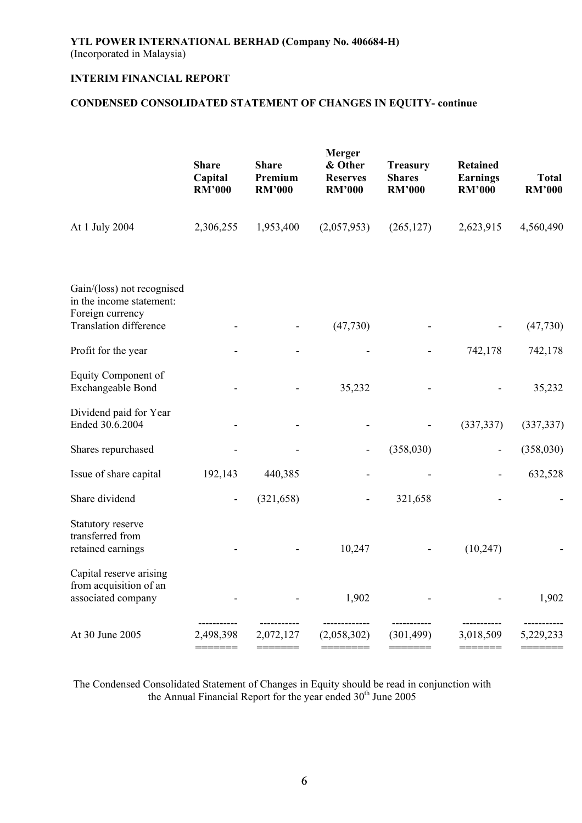# **CONDENSED CONSOLIDATED STATEMENT OF CHANGES IN EQUITY- continue**

|                                                                            | <b>Share</b><br>Capital<br><b>RM'000</b> | <b>Share</b><br>Premium<br><b>RM'000</b> | Merger<br>& Other<br><b>Reserves</b><br><b>RM'000</b> | <b>Treasury</b><br><b>Shares</b><br><b>RM'000</b> | <b>Retained</b><br><b>Earnings</b><br><b>RM'000</b> | <b>Total</b><br><b>RM'000</b> |
|----------------------------------------------------------------------------|------------------------------------------|------------------------------------------|-------------------------------------------------------|---------------------------------------------------|-----------------------------------------------------|-------------------------------|
| At 1 July 2004                                                             | 2,306,255                                | 1,953,400                                | (2,057,953)                                           | (265, 127)                                        | 2,623,915                                           | 4,560,490                     |
| Gain/(loss) not recognised<br>in the income statement:<br>Foreign currency |                                          |                                          |                                                       |                                                   |                                                     |                               |
| <b>Translation difference</b>                                              |                                          |                                          | (47, 730)                                             |                                                   |                                                     | (47, 730)                     |
| Profit for the year                                                        |                                          |                                          |                                                       |                                                   | 742,178                                             | 742,178                       |
| Equity Component of<br>Exchangeable Bond                                   |                                          |                                          | 35,232                                                |                                                   |                                                     | 35,232                        |
| Dividend paid for Year<br>Ended 30.6.2004                                  |                                          |                                          |                                                       |                                                   | (337, 337)                                          | (337, 337)                    |
| Shares repurchased                                                         |                                          |                                          |                                                       | (358,030)                                         |                                                     | (358,030)                     |
| Issue of share capital                                                     | 192,143                                  | 440,385                                  |                                                       |                                                   |                                                     | 632,528                       |
| Share dividend                                                             |                                          | (321, 658)                               | $\overline{\phantom{a}}$                              | 321,658                                           |                                                     |                               |
| Statutory reserve<br>transferred from<br>retained earnings                 |                                          |                                          | 10,247                                                |                                                   | (10, 247)                                           |                               |
| Capital reserve arising<br>from acquisition of an<br>associated company    |                                          |                                          | 1,902                                                 |                                                   |                                                     | 1,902                         |
| At 30 June 2005                                                            | 2,498,398                                | 2,072,127                                | (2,058,302)                                           | (301, 499)                                        | 3,018,509                                           | 5,229,233                     |

The Condensed Consolidated Statement of Changes in Equity should be read in conjunction with the Annual Financial Report for the year ended 30<sup>th</sup> June 2005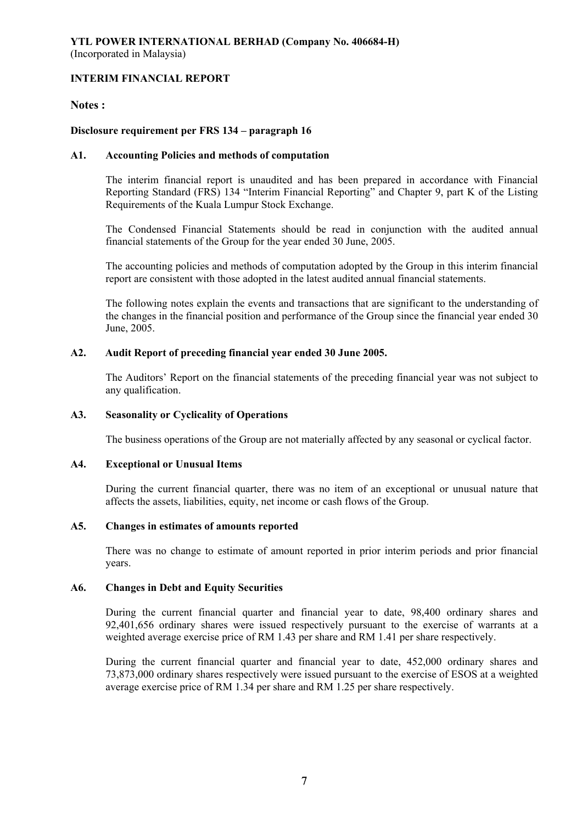# **Notes :**

# **Disclosure requirement per FRS 134 – paragraph 16**

## **A1. Accounting Policies and methods of computation**

The interim financial report is unaudited and has been prepared in accordance with Financial Reporting Standard (FRS) 134 "Interim Financial Reporting" and Chapter 9, part K of the Listing Requirements of the Kuala Lumpur Stock Exchange.

The Condensed Financial Statements should be read in conjunction with the audited annual financial statements of the Group for the year ended 30 June, 2005.

The accounting policies and methods of computation adopted by the Group in this interim financial report are consistent with those adopted in the latest audited annual financial statements.

The following notes explain the events and transactions that are significant to the understanding of the changes in the financial position and performance of the Group since the financial year ended 30 June, 2005.

## **A2. Audit Report of preceding financial year ended 30 June 2005.**

 The Auditors' Report on the financial statements of the preceding financial year was not subject to any qualification.

## **A3. Seasonality or Cyclicality of Operations**

The business operations of the Group are not materially affected by any seasonal or cyclical factor.

## **A4. Exceptional or Unusual Items**

 During the current financial quarter, there was no item of an exceptional or unusual nature that affects the assets, liabilities, equity, net income or cash flows of the Group.

## **A5. Changes in estimates of amounts reported**

 There was no change to estimate of amount reported in prior interim periods and prior financial years.

## **A6. Changes in Debt and Equity Securities**

 During the current financial quarter and financial year to date, 98,400 ordinary shares and 92,401,656 ordinary shares were issued respectively pursuant to the exercise of warrants at a weighted average exercise price of RM 1.43 per share and RM 1.41 per share respectively.

 During the current financial quarter and financial year to date, 452,000 ordinary shares and 73,873,000 ordinary shares respectively were issued pursuant to the exercise of ESOS at a weighted average exercise price of RM 1.34 per share and RM 1.25 per share respectively.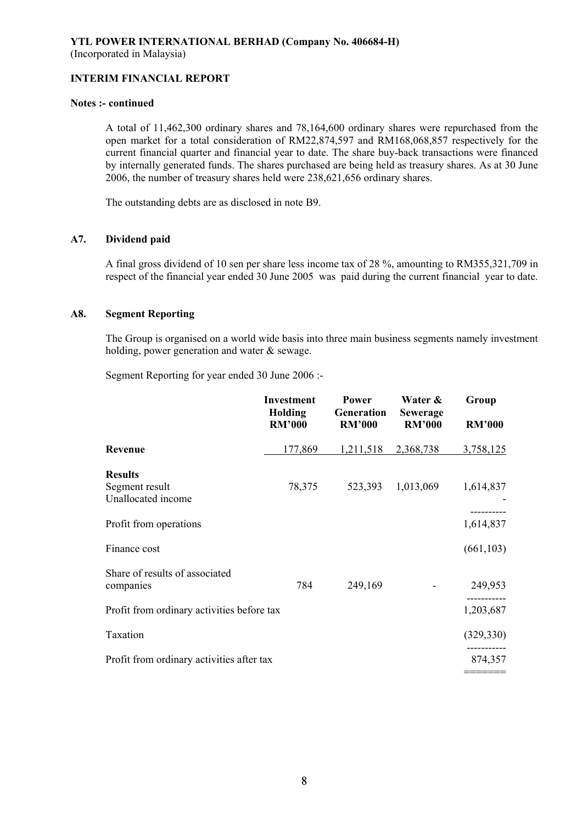### **Notes :- continued**

 A total of 11,462,300 ordinary shares and 78,164,600 ordinary shares were repurchased from the open market for a total consideration of RM22,874,597 and RM168,068,857 respectively for the current financial quarter and financial year to date. The share buy-back transactions were financed by internally generated funds. The shares purchased are being held as treasury shares. As at 30 June 2006, the number of treasury shares held were 238,621,656 ordinary shares.

The outstanding debts are as disclosed in note B9.

# **A7. Dividend paid**

 A final gross dividend of 10 sen per share less income tax of 28 %, amounting to RM355,321,709 in respect of the financial year ended 30 June 2005 was paid during the current financial year to date.

## **A8. Segment Reporting**

 The Group is organised on a world wide basis into three main business segments namely investment holding, power generation and water & sewage.

Segment Reporting for year ended 30 June 2006 :-

|                                             | <b>Investment</b><br>Holding<br><b>RM'000</b> | Power<br>Generation<br><b>RM'000</b> | Water &<br><b>Sewerage</b><br><b>RM'000</b> | Group<br><b>RM'000</b> |
|---------------------------------------------|-----------------------------------------------|--------------------------------------|---------------------------------------------|------------------------|
| Revenue                                     | 177,869                                       | 1,211,518                            | 2,368,738                                   | 3,758,125              |
| <b>Results</b>                              |                                               |                                      |                                             |                        |
| Segment result<br>Unallocated income        | 78,375                                        | 523,393                              | 1,013,069                                   | 1,614,837              |
| Profit from operations                      |                                               |                                      |                                             | 1,614,837              |
| Finance cost                                |                                               |                                      |                                             | (661, 103)             |
| Share of results of associated<br>companies | 784                                           | 249,169                              |                                             | 249,953                |
| Profit from ordinary activities before tax  |                                               |                                      |                                             | 1,203,687              |
| Taxation                                    |                                               |                                      |                                             | (329, 330)             |
| Profit from ordinary activities after tax   |                                               |                                      |                                             | 874,357                |
|                                             |                                               |                                      |                                             |                        |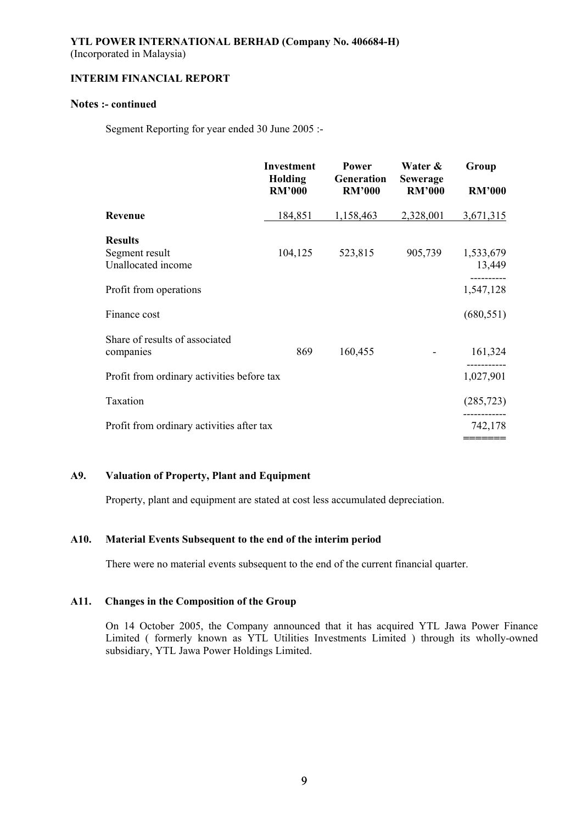# **Notes :- continued**

Segment Reporting for year ended 30 June 2005 :-

|                                            | <b>Investment</b><br><b>Holding</b><br><b>RM'000</b> | <b>Power</b><br>Generation<br><b>RM'000</b> | Water &<br><b>Sewerage</b><br><b>RM'000</b> | Group<br><b>RM'000</b> |
|--------------------------------------------|------------------------------------------------------|---------------------------------------------|---------------------------------------------|------------------------|
|                                            |                                                      |                                             |                                             |                        |
| Revenue                                    | 184,851                                              | 1,158,463                                   | 2,328,001                                   | 3,671,315              |
| <b>Results</b>                             |                                                      |                                             |                                             |                        |
| Segment result<br>Unallocated income       | 104,125                                              | 523,815                                     | 905,739                                     | 1,533,679<br>13,449    |
| Profit from operations                     |                                                      |                                             |                                             | 1,547,128              |
| Finance cost                               |                                                      |                                             |                                             | (680, 551)             |
| Share of results of associated             |                                                      |                                             |                                             |                        |
| companies                                  | 869                                                  | 160,455                                     |                                             | 161,324                |
| Profit from ordinary activities before tax |                                                      |                                             |                                             | 1,027,901              |
| Taxation                                   |                                                      |                                             |                                             | (285, 723)             |
| Profit from ordinary activities after tax  |                                                      |                                             |                                             | 742,178                |
|                                            |                                                      |                                             |                                             | =======                |

# **A9. Valuation of Property, Plant and Equipment**

Property, plant and equipment are stated at cost less accumulated depreciation.

# **A10. Material Events Subsequent to the end of the interim period**

There were no material events subsequent to the end of the current financial quarter.

## **A11. Changes in the Composition of the Group**

On 14 October 2005, the Company announced that it has acquired YTL Jawa Power Finance Limited ( formerly known as YTL Utilities Investments Limited ) through its wholly-owned subsidiary, YTL Jawa Power Holdings Limited.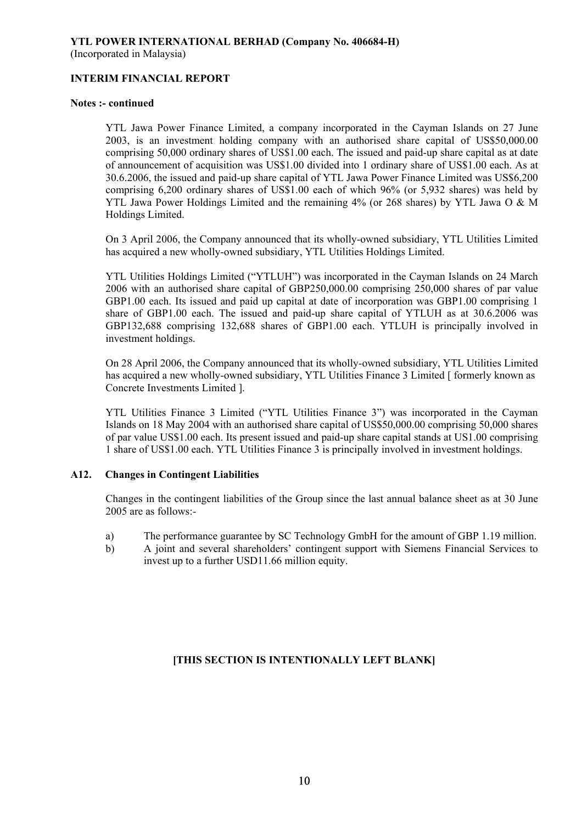# **Notes :- continued**

YTL Jawa Power Finance Limited, a company incorporated in the Cayman Islands on 27 June 2003, is an investment holding company with an authorised share capital of US\$50,000.00 comprising 50,000 ordinary shares of US\$1.00 each. The issued and paid-up share capital as at date of announcement of acquisition was US\$1.00 divided into 1 ordinary share of US\$1.00 each. As at 30.6.2006, the issued and paid-up share capital of YTL Jawa Power Finance Limited was US\$6,200 comprising 6,200 ordinary shares of US\$1.00 each of which 96% (or 5,932 shares) was held by YTL Jawa Power Holdings Limited and the remaining 4% (or 268 shares) by YTL Jawa O & M Holdings Limited.

On 3 April 2006, the Company announced that its wholly-owned subsidiary, YTL Utilities Limited has acquired a new wholly-owned subsidiary, YTL Utilities Holdings Limited.

YTL Utilities Holdings Limited ("YTLUH") was incorporated in the Cayman Islands on 24 March 2006 with an authorised share capital of GBP250,000.00 comprising 250,000 shares of par value GBP1.00 each. Its issued and paid up capital at date of incorporation was GBP1.00 comprising 1 share of GBP1.00 each. The issued and paid-up share capital of YTLUH as at 30.6.2006 was GBP132,688 comprising 132,688 shares of GBP1.00 each. YTLUH is principally involved in investment holdings.

On 28 April 2006, the Company announced that its wholly-owned subsidiary, YTL Utilities Limited has acquired a new wholly-owned subsidiary, YTL Utilities Finance 3 Limited [ formerly known as Concrete Investments Limited ].

YTL Utilities Finance 3 Limited ("YTL Utilities Finance 3") was incorporated in the Cayman Islands on 18 May 2004 with an authorised share capital of US\$50,000.00 comprising 50,000 shares of par value US\$1.00 each. Its present issued and paid-up share capital stands at US1.00 comprising 1 share of US\$1.00 each. YTL Utilities Finance 3 is principally involved in investment holdings.

# **A12. Changes in Contingent Liabilities**

Changes in the contingent liabilities of the Group since the last annual balance sheet as at 30 June 2005 are as follows:-

- a) The performance guarantee by SC Technology GmbH for the amount of GBP 1.19 million.
- b) A joint and several shareholders' contingent support with Siemens Financial Services to invest up to a further USD11.66 million equity.

# **[THIS SECTION IS INTENTIONALLY LEFT BLANK]**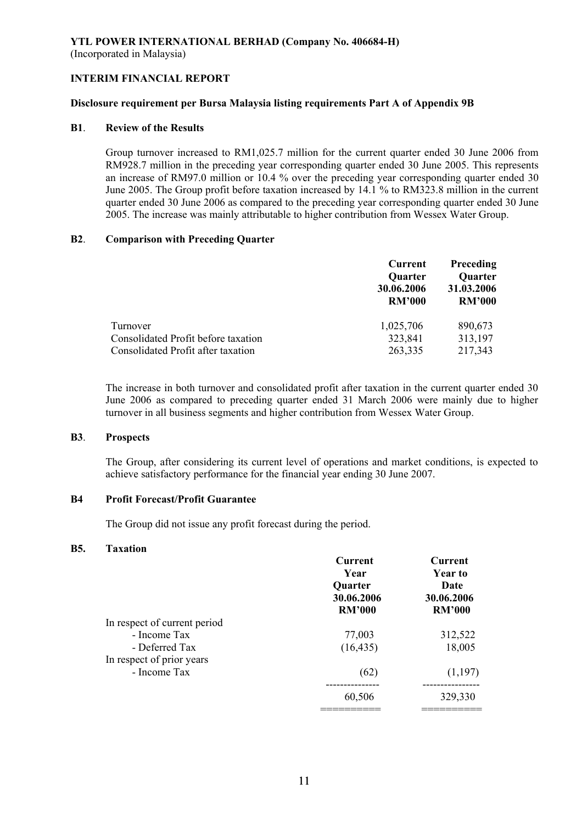# **YTL POWER INTERNATIONAL BERHAD (Company No. 406684-H)**

(Incorporated in Malaysia)

# **INTERIM FINANCIAL REPORT**

## **Disclosure requirement per Bursa Malaysia listing requirements Part A of Appendix 9B**

## **B1**. **Review of the Results**

 Group turnover increased to RM1,025.7 million for the current quarter ended 30 June 2006 from RM928.7 million in the preceding year corresponding quarter ended 30 June 2005. This represents an increase of RM97.0 million or 10.4 % over the preceding year corresponding quarter ended 30 June 2005. The Group profit before taxation increased by 14.1 % to RM323.8 million in the current quarter ended 30 June 2006 as compared to the preceding year corresponding quarter ended 30 June 2005. The increase was mainly attributable to higher contribution from Wessex Water Group.

## **B2**. **Comparison with Preceding Quarter**

|                                     | Current        | <b>Preceding</b> |  |
|-------------------------------------|----------------|------------------|--|
|                                     | <b>Quarter</b> | <b>Quarter</b>   |  |
|                                     | 30.06.2006     | 31.03.2006       |  |
|                                     | <b>RM'000</b>  | <b>RM'000</b>    |  |
| Turnover                            | 1,025,706      | 890,673          |  |
| Consolidated Profit before taxation | 323,841        | 313,197          |  |
| Consolidated Profit after taxation  | 263,335        | 217,343          |  |

The increase in both turnover and consolidated profit after taxation in the current quarter ended 30 June 2006 as compared to preceding quarter ended 31 March 2006 were mainly due to higher turnover in all business segments and higher contribution from Wessex Water Group.

## **B3**. **Prospects**

The Group, after considering its current level of operations and market conditions, is expected to achieve satisfactory performance for the financial year ending 30 June 2007.

# **B4 Profit Forecast/Profit Guarantee**

The Group did not issue any profit forecast during the period.

### **B5. Taxation**

|                              | Current<br>Year<br><b>Quarter</b><br>30.06.2006<br><b>RM'000</b> | Current<br><b>Year to</b><br><b>Date</b><br>30.06.2006<br><b>RM'000</b> |
|------------------------------|------------------------------------------------------------------|-------------------------------------------------------------------------|
| In respect of current period |                                                                  |                                                                         |
| - Income Tax                 | 77,003                                                           | 312,522                                                                 |
| - Deferred Tax               | (16, 435)                                                        | 18,005                                                                  |
| In respect of prior years    |                                                                  |                                                                         |
| - Income Tax                 | (62)                                                             | (1,197)                                                                 |
|                              | 60,506                                                           | 329,330                                                                 |
|                              |                                                                  |                                                                         |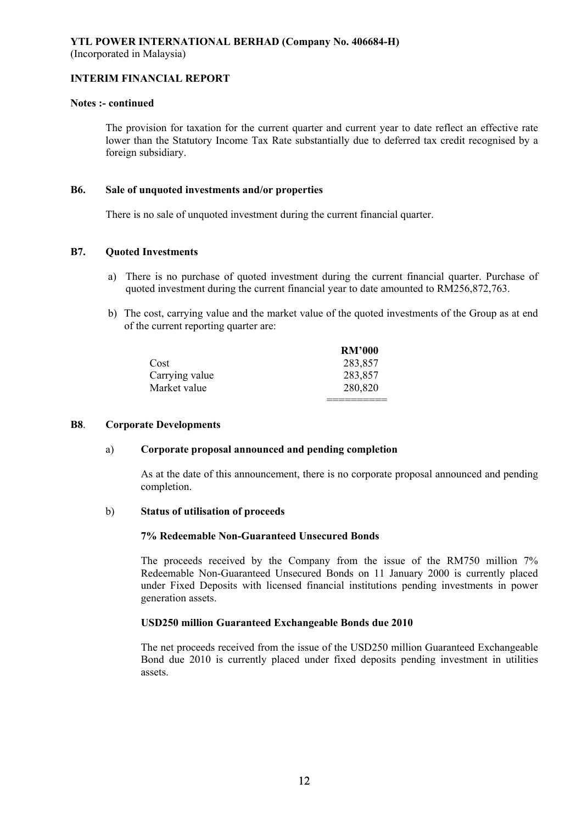### **Notes :- continued**

The provision for taxation for the current quarter and current year to date reflect an effective rate lower than the Statutory Income Tax Rate substantially due to deferred tax credit recognised by a foreign subsidiary.

### **B6. Sale of unquoted investments and/or properties**

There is no sale of unquoted investment during the current financial quarter.

# **B7. Quoted Investments**

- a) There is no purchase of quoted investment during the current financial quarter. Purchase of quoted investment during the current financial year to date amounted to RM256,872,763.
- b) The cost, carrying value and the market value of the quoted investments of the Group as at end of the current reporting quarter are:

|                | <b>RM'000</b> |
|----------------|---------------|
| Cost           | 283,857       |
| Carrying value | 283,857       |
| Market value   | 280,820       |
|                |               |

### **B8**. **Corporate Developments**

### a) **Corporate proposal announced and pending completion**

 As at the date of this announcement, there is no corporate proposal announced and pending completion.

### b) **Status of utilisation of proceeds**

### **7% Redeemable Non-Guaranteed Unsecured Bonds**

 The proceeds received by the Company from the issue of the RM750 million 7% Redeemable Non-Guaranteed Unsecured Bonds on 11 January 2000 is currently placed under Fixed Deposits with licensed financial institutions pending investments in power generation assets.

## **USD250 million Guaranteed Exchangeable Bonds due 2010**

The net proceeds received from the issue of the USD250 million Guaranteed Exchangeable Bond due 2010 is currently placed under fixed deposits pending investment in utilities assets.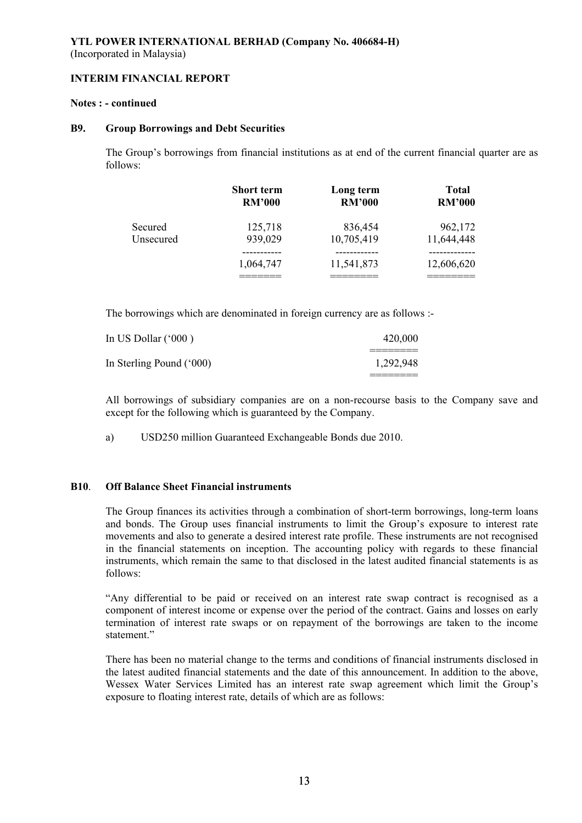### **Notes : - continued**

### **B9. Group Borrowings and Debt Securities**

 The Group's borrowings from financial institutions as at end of the current financial quarter are as follows:

|           | <b>Short term</b> | Long term     | <b>Total</b>  |
|-----------|-------------------|---------------|---------------|
|           | <b>RM'000</b>     | <b>RM'000</b> | <b>RM'000</b> |
| Secured   | 125,718           | 836,454       | 962,172       |
| Unsecured | 939,029           | 10,705,419    | 11,644,448    |
|           | 1,064,747         | 11,541,873    | 12,606,620    |

The borrowings which are denominated in foreign currency are as follows :-

| In US Dollar $(600)$     | 420,000   |
|--------------------------|-----------|
|                          |           |
| In Sterling Pound ('000) | 1,292,948 |
|                          |           |

All borrowings of subsidiary companies are on a non-recourse basis to the Company save and except for the following which is guaranteed by the Company.

a) USD250 million Guaranteed Exchangeable Bonds due 2010.

# **B10**. **Off Balance Sheet Financial instruments**

 The Group finances its activities through a combination of short-term borrowings, long-term loans and bonds. The Group uses financial instruments to limit the Group's exposure to interest rate movements and also to generate a desired interest rate profile. These instruments are not recognised in the financial statements on inception. The accounting policy with regards to these financial instruments, which remain the same to that disclosed in the latest audited financial statements is as follows:

 "Any differential to be paid or received on an interest rate swap contract is recognised as a component of interest income or expense over the period of the contract. Gains and losses on early termination of interest rate swaps or on repayment of the borrowings are taken to the income statement<sup>"</sup>

 There has been no material change to the terms and conditions of financial instruments disclosed in the latest audited financial statements and the date of this announcement. In addition to the above, Wessex Water Services Limited has an interest rate swap agreement which limit the Group's exposure to floating interest rate, details of which are as follows: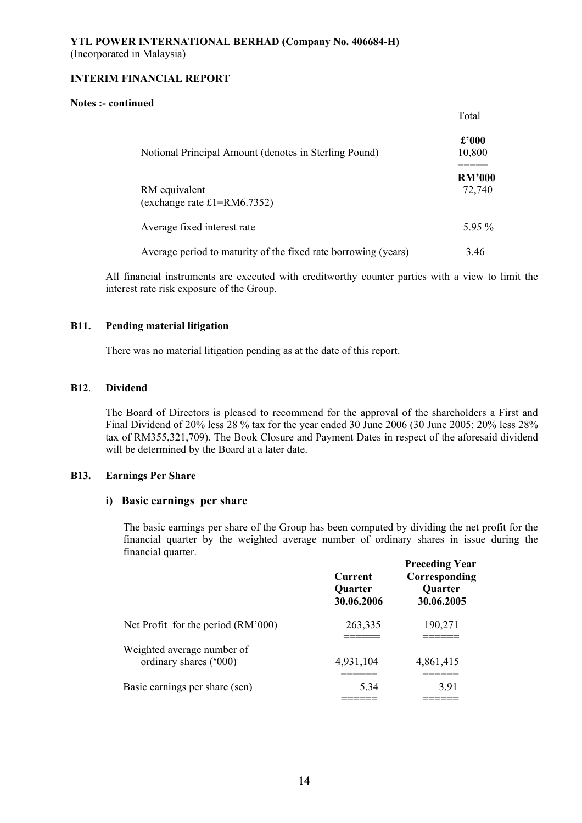### **Notes :- continued**

|                                                                | Total                    |
|----------------------------------------------------------------|--------------------------|
| Notional Principal Amount (denotes in Sterling Pound)          | $\pounds$ '000<br>10,800 |
| RM equivalent<br>(exchange rate $£1 = RM6.7352$ )              | <b>RM'000</b><br>72,740  |
| Average fixed interest rate                                    | $5.95\%$                 |
| Average period to maturity of the fixed rate borrowing (years) | 3.46                     |

All financial instruments are executed with creditworthy counter parties with a view to limit the interest rate risk exposure of the Group.

## **B11. Pending material litigation**

There was no material litigation pending as at the date of this report.

## **B12**. **Dividend**

 The Board of Directors is pleased to recommend for the approval of the shareholders a First and Final Dividend of 20% less 28 % tax for the year ended 30 June 2006 (30 June 2005: 20% less 28% tax of RM355,321,709). The Book Closure and Payment Dates in respect of the aforesaid dividend will be determined by the Board at a later date.

# **B13. Earnings Per Share**

# **i) Basic earnings per share**

The basic earnings per share of the Group has been computed by dividing the net profit for the financial quarter by the weighted average number of ordinary shares in issue during the financial quarter.

|                                                      | <b>Current</b><br><b>Quarter</b><br>30.06.2006 | <b>Preceding Year</b><br>Corresponding<br><b>Quarter</b><br>30.06.2005 |
|------------------------------------------------------|------------------------------------------------|------------------------------------------------------------------------|
| Net Profit for the period (RM'000)                   | 263,335                                        | 190,271                                                                |
| Weighted average number of<br>ordinary shares ('000) | 4,931,104                                      | 4,861,415                                                              |
| Basic earnings per share (sen)                       | 5.34                                           | 3.91                                                                   |